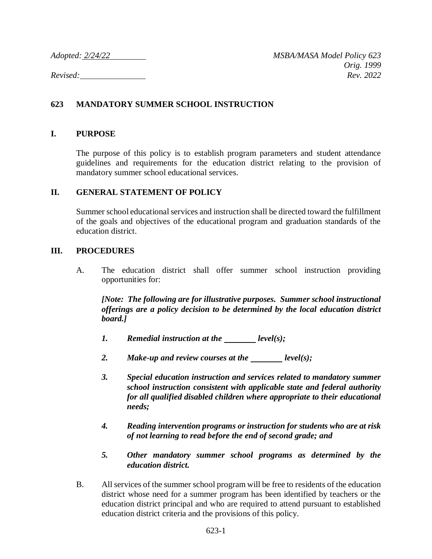# **623 MANDATORY SUMMER SCHOOL INSTRUCTION**

### **I. PURPOSE**

The purpose of this policy is to establish program parameters and student attendance guidelines and requirements for the education district relating to the provision of mandatory summer school educational services.

### **II. GENERAL STATEMENT OF POLICY**

Summer school educational services and instruction shall be directed toward the fulfillment of the goals and objectives of the educational program and graduation standards of the education district.

#### **III. PROCEDURES**

A. The education district shall offer summer school instruction providing opportunities for:

*[Note: The following are for illustrative purposes. Summer school instructional offerings are a policy decision to be determined by the local education district board.]*

- *1. Remedial instruction at the level(s);*
- 2. Make-up and review courses at the <u>level(s)</u>;
- *3. Special education instruction and services related to mandatory summer school instruction consistent with applicable state and federal authority for all qualified disabled children where appropriate to their educational needs;*
- *4. Reading intervention programs or instruction for students who are at risk of not learning to read before the end of second grade; and*
- *5. Other mandatory summer school programs as determined by the education district.*
- B. All services of the summer school program will be free to residents of the education district whose need for a summer program has been identified by teachers or the education district principal and who are required to attend pursuant to established education district criteria and the provisions of this policy.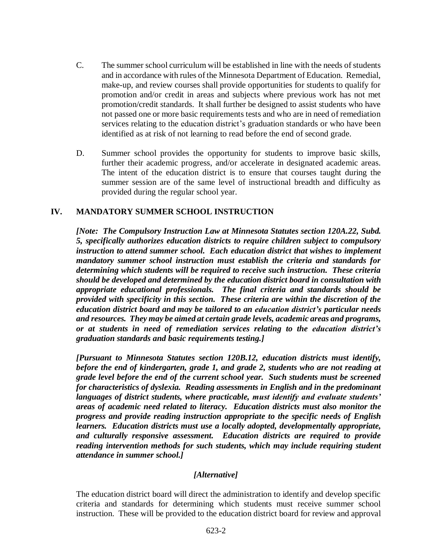- C. The summer school curriculum will be established in line with the needs of students and in accordance with rules of the Minnesota Department of Education. Remedial, make-up, and review courses shall provide opportunities for students to qualify for promotion and/or credit in areas and subjects where previous work has not met promotion/credit standards. It shall further be designed to assist students who have not passed one or more basic requirements tests and who are in need of remediation services relating to the education district's graduation standards or who have been identified as at risk of not learning to read before the end of second grade.
- D. Summer school provides the opportunity for students to improve basic skills, further their academic progress, and/or accelerate in designated academic areas. The intent of the education district is to ensure that courses taught during the summer session are of the same level of instructional breadth and difficulty as provided during the regular school year.

## **IV. MANDATORY SUMMER SCHOOL INSTRUCTION**

*[Note: The Compulsory Instruction Law at Minnesota Statutes section 120A.22, Subd. 5, specifically authorizes education districts to require children subject to compulsory instruction to attend summer school. Each education district that wishes to implement mandatory summer school instruction must establish the criteria and standards for determining which students will be required to receive such instruction. These criteria should be developed and determined by the education district board in consultation with appropriate educational professionals. The final criteria and standards should be provided with specificity in this section. These criteria are within the discretion of the education district board and may be tailored to an education district's particular needs and resources. They may be aimed at certain grade levels, academic areas and programs, or at students in need of remediation services relating to the education district's graduation standards and basic requirements testing.]*

*[Pursuant to Minnesota Statutes section 120B.12, education districts must identify, before the end of kindergarten, grade 1, and grade 2, students who are not reading at grade level before the end of the current school year. Such students must be screened for characteristics of dyslexia. Reading assessments in English and in the predominant languages of district students, where practicable, must identify and evaluate students' areas of academic need related to literacy. Education districts must also monitor the progress and provide reading instruction appropriate to the specific needs of English learners. Education districts must use a locally adopted, developmentally appropriate, and culturally responsive assessment. Education districts are required to provide reading intervention methods for such students, which may include requiring student attendance in summer school.]*

### *[Alternative]*

The education district board will direct the administration to identify and develop specific criteria and standards for determining which students must receive summer school instruction. These will be provided to the education district board for review and approval